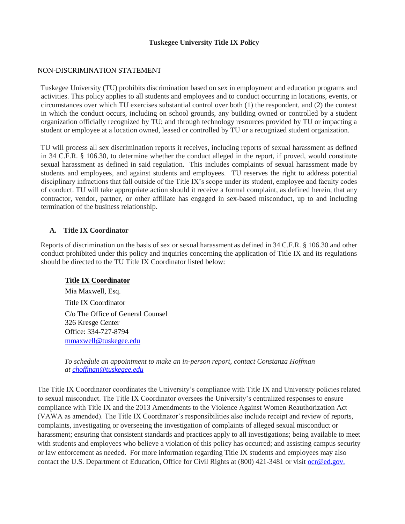## **Tuskegee University Title IX Policy**

#### NON-DISCRIMINATION STATEMENT

Tuskegee University (TU) prohibits discrimination based on sex in employment and education programs and activities. This policy applies to all students and employees and to conduct occurring in locations, events, or circumstances over which TU exercises substantial control over both (1) the respondent, and (2) the context in which the conduct occurs, including on school grounds, any building owned or controlled by a student organization officially recognized by TU; and through technology resources provided by TU or impacting a student or employee at a location owned, leased or controlled by TU or a recognized student organization.

TU will process all sex discrimination reports it receives, including reports of sexual harassment as defined in 34 C.F.R. § 106.30, to determine whether the conduct alleged in the report, if proved, would constitute sexual harassment as defined in said regulation. This includes complaints of sexual harassment made by students and employees, and against students and employees. TU reserves the right to address potential disciplinary infractions that fall outside of the Title IX's scope under its student, employee and faculty codes of conduct. TU will take appropriate action should it receive a formal complaint, as defined herein, that any contractor, vendor, partner, or other affiliate has engaged in sex-based misconduct, up to and including termination of the business relationship.

#### **A. Title IX Coordinator**

Reports of discrimination on the basis of sex or sexual harassment as defined in 34 C.F.R. § 106.30 and other conduct prohibited under this policy and inquiries concerning the application of Title IX and its regulations should be directed to the TU Title IX Coordinator listed below:

## **Title IX Coordinator**

Mia Maxwell, Esq. Title IX Coordinator C/o The Office of General Counsel 326 Kresge Center Office: 334-727-8794 mmaxwell@tuskegee.edu

*To schedule an appointment to make an in-person report, contact Constanza Hoffman at choffman@tuskegee.edu*

The Title IX Coordinator coordinates the University's compliance with Title IX and University policies related to sexual misconduct. The Title IX Coordinator oversees the University's centralized responses to ensure compliance with Title IX and the 2013 Amendments to the Violence Against Women Reauthorization Act (VAWA as amended). The Title IX Coordinator's responsibilities also include receipt and review of reports, complaints, investigating or overseeing the investigation of complaints of alleged sexual misconduct or harassment; ensuring that consistent standards and practices apply to all investigations; being available to meet with students and employees who believe a violation of this policy has occurred; and assisting campus security or law enforcement as needed. For more information regarding Title IX students and employees may also contact the U.S. Department of Education, Office for Civil Rights at (800) 421-3481 or visit <u>ocr@ed.gov.</u>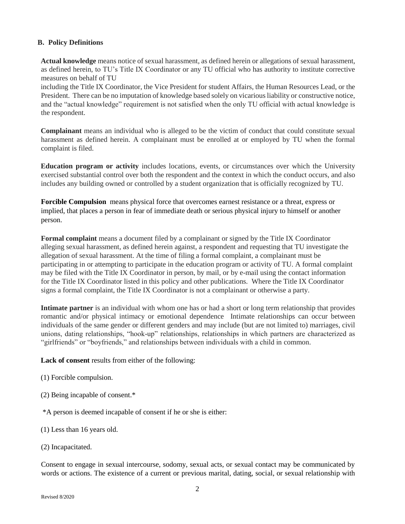## **B. Policy Definitions**

**Actual knowledge** means notice of sexual harassment, as defined herein or allegations of sexual harassment, as defined herein, to TU's Title IX Coordinator or any TU official who has authority to institute corrective measures on behalf of TU

including the Title IX Coordinator, the Vice President for student Affairs, the Human Resources Lead, or the President. There can be no imputation of knowledge based solely on vicarious liability or constructive notice, and the "actual knowledge" requirement is not satisfied when the only TU official with actual knowledge is the respondent.

**Complainant** means an individual who is alleged to be the victim of conduct that could constitute sexual harassment as defined herein. A complainant must be enrolled at or employed by TU when the formal complaint is filed.

**Education program or activity** includes locations, events, or circumstances over which the University exercised substantial control over both the respondent and the context in which the conduct occurs, and also includes any building owned or controlled by a student organization that is officially recognized by TU.

**Forcible Compulsion** means physical force that overcomes earnest resistance or a threat, express or implied, that places a person in fear of immediate death or serious physical injury to himself or another person.

**Formal complaint** means a document filed by a complainant or signed by the Title IX Coordinator alleging sexual harassment, as defined herein against, a respondent and requesting that TU investigate the allegation of sexual harassment. At the time of filing a formal complaint, a complainant must be participating in or attempting to participate in the education program or activity of TU. A formal complaint may be filed with the Title IX Coordinator in person, by mail, or by e-mail using the contact information for the Title IX Coordinator listed in this policy and other publications. Where the Title IX Coordinator signs a formal complaint, the Title IX Coordinator is not a complainant or otherwise a party.

**Intimate partner** is an individual with whom one has or had a short or long term relationship that provides romantic and/or physical intimacy or emotional dependence Intimate relationships can occur between individuals of the same gender or different genders and may include (but are not limited to) marriages, civil unions, dating relationships, "hook-up" relationships, relationships in which partners are characterized as "girlfriends" or "boyfriends," and relationships between individuals with a child in common.

**Lack of consent** results from either of the following:

- (1) Forcible compulsion.
- (2) Being incapable of consent.\*
- \*A person is deemed incapable of consent if he or she is either:

(1) Less than 16 years old.

(2) Incapacitated.

Consent to engage in sexual intercourse, sodomy, sexual acts, or sexual contact may be communicated by words or actions. The existence of a current or previous marital, dating, social, or sexual relationship with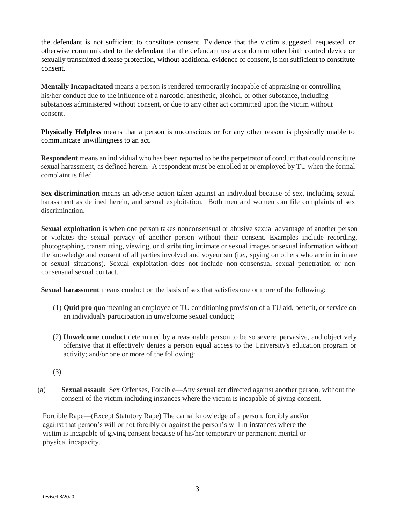the defendant is not sufficient to constitute consent. Evidence that the victim suggested, requested, or otherwise communicated to the defendant that the defendant use a condom or other birth control device or sexually transmitted disease protection, without additional evidence of consent, is not sufficient to constitute consent.

**Mentally Incapacitated** means a person is rendered temporarily incapable of appraising or controlling his/her conduct due to the influence of a narcotic, anesthetic, alcohol, or other substance, including substances administered without consent, or due to any other act committed upon the victim without consent.

**Physically Helpless** means that a person is unconscious or for any other reason is physically unable to communicate unwillingness to an act.

**Respondent** means an individual who has been reported to be the perpetrator of conduct that could constitute sexual harassment, as defined herein. A respondent must be enrolled at or employed by TU when the formal complaint is filed.

**Sex discrimination** means an adverse action taken against an individual because of sex, including sexual harassment as defined herein, and sexual exploitation. Both men and women can file complaints of sex discrimination.

**Sexual exploitation** is when one person takes nonconsensual or abusive sexual advantage of another person or violates the sexual privacy of another person without their consent. Examples include recording, photographing, transmitting, viewing, or distributing intimate or sexual images or sexual information without the knowledge and consent of all parties involved and voyeurism (i.e., spying on others who are in intimate or sexual situations). Sexual exploitation does not include non-consensual sexual penetration or nonconsensual sexual contact.

**Sexual harassment** means conduct on the basis of sex that satisfies one or more of the following:

- (1) **Quid pro quo** meaning an employee of TU conditioning provision of a TU aid, benefit, or service on an individual's participation in unwelcome sexual conduct;
- (2) **Unwelcome conduct** determined by a reasonable person to be so severe, pervasive, and objectively offensive that it effectively denies a person equal access to the University's education program or activity; and/or one or more of the following:
- (3)
- (a) **Sexual assault** Sex Offenses, Forcible—Any sexual act directed against another person, without the consent of the victim including instances where the victim is incapable of giving consent.

Forcible Rape—(Except Statutory Rape) The carnal knowledge of a person, forcibly and/or against that person's will or not forcibly or against the person's will in instances where the victim is incapable of giving consent because of his/her temporary or permanent mental or physical incapacity.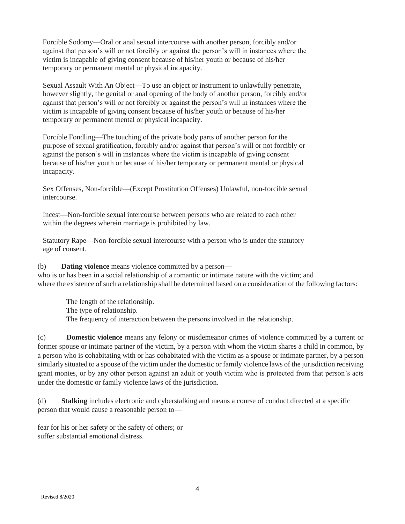Forcible Sodomy—Oral or anal sexual intercourse with another person, forcibly and/or against that person's will or not forcibly or against the person's will in instances where the victim is incapable of giving consent because of his/her youth or because of his/her temporary or permanent mental or physical incapacity.

Sexual Assault With An Object—To use an object or instrument to unlawfully penetrate, however slightly, the genital or anal opening of the body of another person, forcibly and/or against that person's will or not forcibly or against the person's will in instances where the victim is incapable of giving consent because of his/her youth or because of his/her temporary or permanent mental or physical incapacity.

Forcible Fondling—The touching of the private body parts of another person for the purpose of sexual gratification, forcibly and/or against that person's will or not forcibly or against the person's will in instances where the victim is incapable of giving consent because of his/her youth or because of his/her temporary or permanent mental or physical incapacity.

Sex Offenses, Non-forcible—(Except Prostitution Offenses) Unlawful, non-forcible sexual intercourse.

Incest—Non-forcible sexual intercourse between persons who are related to each other within the degrees wherein marriage is prohibited by law.

Statutory Rape—Non-forcible sexual intercourse with a person who is under the statutory age of consent.

(b) **Dating violence** means violence committed by a person who is or has been in a social relationship of a romantic or intimate nature with the victim; and where the existence of such a relationship shall be determined based on a consideration of the following factors:

The length of the relationship. The type of relationship. The frequency of interaction between the persons involved in the relationship.

(c) **Domestic violence** means any felony or misdemeanor crimes of violence committed by a current or former spouse or intimate partner of the victim, by a person with whom the victim shares a child in common, by a person who is cohabitating with or has cohabitated with the victim as a spouse or intimate partner, by a person similarly situated to a spouse of the victim under the domestic or family violence laws of the jurisdiction receiving grant monies, or by any other person against an adult or youth victim who is protected from that person's acts under the domestic or family violence laws of the jurisdiction.

(d) **Stalking** includes electronic and cyberstalking and means a course of conduct directed at a specific person that would cause a reasonable person to—

fear for his or her safety or the safety of others; or suffer substantial emotional distress.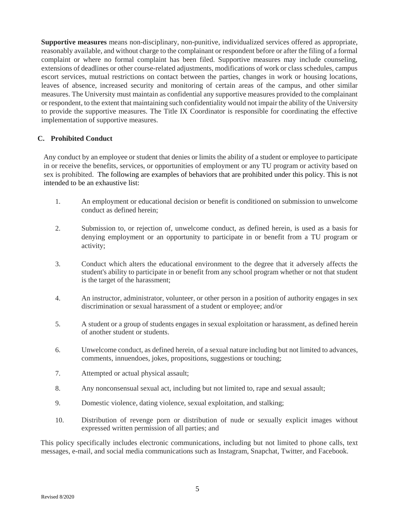**Supportive measures** means non-disciplinary, non-punitive, individualized services offered as appropriate, reasonably available, and without charge to the complainant or respondent before or after the filing of a formal complaint or where no formal complaint has been filed. Supportive measures may include counseling, extensions of deadlines or other course-related adjustments, modifications of work or class schedules, campus escort services, mutual restrictions on contact between the parties, changes in work or housing locations, leaves of absence, increased security and monitoring of certain areas of the campus, and other similar measures. The University must maintain as confidential any supportive measures provided to the complainant or respondent, to the extent that maintaining such confidentiality would not impair the ability of the University to provide the supportive measures. The Title IX Coordinator is responsible for coordinating the effective implementation of supportive measures.

# **C. Prohibited Conduct**

Any conduct by an employee or student that denies or limits the ability of a student or employee to participate in or receive the benefits, services, or opportunities of employment or any TU program or activity based on sex is prohibited. The following are examples of behaviors that are prohibited under this policy. This is not intended to be an exhaustive list:

- 1. An employment or educational decision or benefit is conditioned on submission to unwelcome conduct as defined herein;
- 2. Submission to, or rejection of, unwelcome conduct, as defined herein, is used as a basis for denying employment or an opportunity to participate in or benefit from a TU program or activity;
- 3. Conduct which alters the educational environment to the degree that it adversely affects the student's ability to participate in or benefit from any school program whether or not that student is the target of the harassment;
- 4. An instructor, administrator, volunteer, or other person in a position of authority engages in sex discrimination or sexual harassment of a student or employee; and/or
- 5. A student or a group of students engages in sexual exploitation or harassment, as defined herein of another student or students.
- 6. Unwelcome conduct, as defined herein, of a sexual nature including but not limited to advances, comments, innuendoes, jokes, propositions, suggestions or touching;
- 7. Attempted or actual physical assault;
- 8. Any nonconsensual sexual act, including but not limited to, rape and sexual assault;
- 9. Domestic violence, dating violence, sexual exploitation, and stalking;
- 10. Distribution of revenge porn or distribution of nude or sexually explicit images without expressed written permission of all parties; and

This policy specifically includes electronic communications, including but not limited to phone calls, text messages, e-mail, and social media communications such as Instagram, Snapchat, Twitter, and Facebook.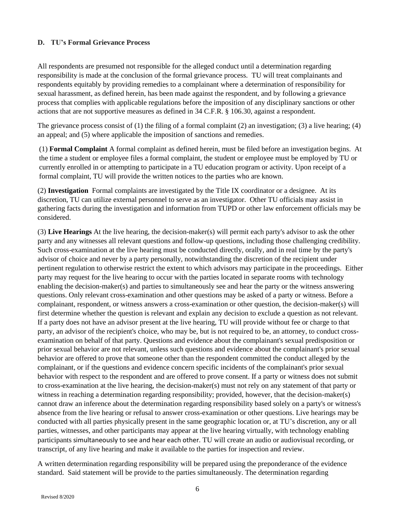# **D. TU's Formal Grievance Process**

All respondents are presumed not responsible for the alleged conduct until a determination regarding responsibility is made at the conclusion of the formal grievance process. TU will treat complainants and respondents equitably by providing remedies to a complainant where a determination of responsibility for sexual harassment, as defined herein, has been made against the respondent, and by following a grievance process that complies with applicable regulations before the imposition of any disciplinary sanctions or other actions that are not supportive measures as defined in 34 C.F.R. § 106.30, against a respondent.

The grievance process consist of (1) the filing of a formal complaint (2) an investigation; (3) a live hearing; (4) an appeal; and (5) where applicable the imposition of sanctions and remedies.

(1) **Formal Complaint** A formal complaint as defined herein, must be filed before an investigation begins. At the time a student or employee files a formal complaint, the student or employee must be employed by TU or currently enrolled in or attempting to participate in a TU education program or activity. Upon receipt of a formal complaint, TU will provide the written notices to the parties who are known.

(2) **Investigation** Formal complaints are investigated by the Title IX coordinator or a designee. At its discretion, TU can utilize external personnel to serve as an investigator. Other TU officials may assist in gathering facts during the investigation and information from TUPD or other law enforcement officials may be considered.

(3) **Live Hearings** At the live hearing, the decision-maker(s) will permit each party's advisor to ask the other party and any witnesses all relevant questions and follow-up questions, including those challenging credibility. Such cross-examination at the live hearing must be conducted directly, orally, and in real time by the party's advisor of choice and never by a party personally, notwithstanding the discretion of the recipient under pertinent regulation to otherwise restrict the extent to which advisors may participate in the proceedings. Either party may request for the live hearing to occur with the parties located in separate rooms with technology enabling the decision-maker(s) and parties to simultaneously see and hear the party or the witness answering questions. Only relevant cross-examination and other questions may be asked of a party or witness. Before a complainant, respondent, or witness answers a cross-examination or other question, the decision-maker(s) will first determine whether the question is relevant and explain any decision to exclude a question as not relevant. If a party does not have an advisor present at the live hearing, TU will provide without fee or charge to that party, an advisor of the recipient's choice, who may be, but is not required to be, an attorney, to conduct crossexamination on behalf of that party. Questions and evidence about the complainant's sexual predisposition or prior sexual behavior are not relevant, unless such questions and evidence about the complainant's prior sexual behavior are offered to prove that someone other than the respondent committed the conduct alleged by the complainant, or if the questions and evidence concern specific incidents of the complainant's prior sexual behavior with respect to the respondent and are offered to prove consent. If a party or witness does not submit to cross-examination at the live hearing, the decision-maker(s) must not rely on any statement of that party or witness in reaching a determination regarding responsibility; provided, however, that the decision-maker(s) cannot draw an inference about the determination regarding responsibility based solely on a party's or witness's absence from the live hearing or refusal to answer cross-examination or other questions. Live hearings may be conducted with all parties physically present in the same geographic location or, at TU's discretion, any or all parties, witnesses, and other participants may appear at the live hearing virtually, with technology enabling participants simultaneously to see and hear each other. TU will create an audio or audiovisual recording, or transcript, of any live hearing and make it available to the parties for inspection and review.

A written determination regarding responsibility will be prepared using the preponderance of the evidence standard. Said statement will be provide to the parties simultaneously. The determination regarding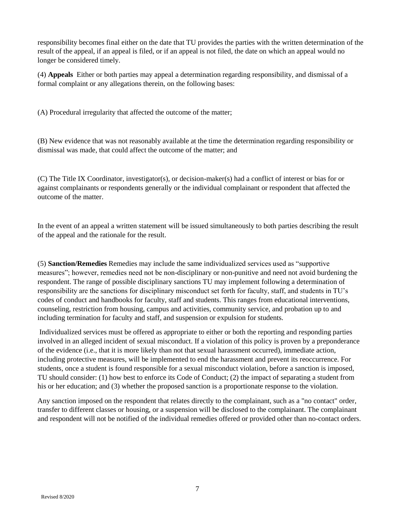responsibility becomes final either on the date that TU provides the parties with the written determination of the result of the appeal, if an appeal is filed, or if an appeal is not filed, the date on which an appeal would no longer be considered timely.

(4) **Appeals** Either or both parties may appeal a determination regarding responsibility, and dismissal of a formal complaint or any allegations therein, on the following bases:

(A) Procedural irregularity that affected the outcome of the matter;

(B) New evidence that was not reasonably available at the time the determination regarding responsibility or dismissal was made, that could affect the outcome of the matter; and

(C) The Title IX Coordinator, investigator(s), or decision-maker(s) had a conflict of interest or bias for or against complainants or respondents generally or the individual complainant or respondent that affected the outcome of the matter.

In the event of an appeal a written statement will be issued simultaneously to both parties describing the result of the appeal and the rationale for the result.

(5) **Sanction/Remedies** Remedies may include the same individualized services used as "supportive measures"; however, remedies need not be non-disciplinary or non-punitive and need not avoid burdening the respondent. The range of possible disciplinary sanctions TU may implement following a determination of responsibility are the sanctions for disciplinary misconduct set forth for faculty, staff, and students in TU's codes of conduct and handbooks for faculty, staff and students. This ranges from educational interventions, counseling, restriction from housing, campus and activities, community service, and probation up to and including termination for faculty and staff, and suspension or expulsion for students.

Individualized services must be offered as appropriate to either or both the reporting and responding parties involved in an alleged incident of sexual misconduct. If a violation of this policy is proven by a preponderance of the evidence (i.e., that it is more likely than not that sexual harassment occurred), immediate action, including protective measures, will be implemented to end the harassment and prevent its reoccurrence. For students, once a student is found responsible for a sexual misconduct violation, before a sanction is imposed, TU should consider: (1) how best to enforce its Code of Conduct; (2) the impact of separating a student from his or her education; and (3) whether the proposed sanction is a proportionate response to the violation.

Any sanction imposed on the respondent that relates directly to the complainant, such as a "no contact" order, transfer to different classes or housing, or a suspension will be disclosed to the complainant. The complainant and respondent will not be notified of the individual remedies offered or provided other than no-contact orders.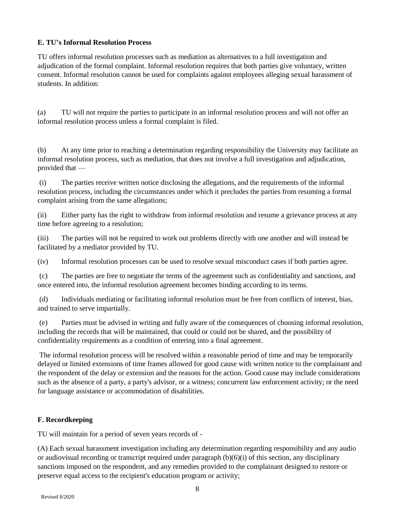# **E. TU's Informal Resolution Process**

TU offers informal resolution processes such as mediation as alternatives to a full investigation and adjudication of the formal complaint. Informal resolution requires that both parties give voluntary, written consent. Informal resolution cannot be used for complaints against employees alleging sexual harassment of students. In addition:

(a) TU will not require the parties to participate in an informal resolution process and will not offer an informal resolution process unless a formal complaint is filed.

(b) At any time prior to reaching a determination regarding responsibility the University may facilitate an informal resolution process, such as mediation, that does not involve a full investigation and adjudication, provided that —

(i) The parties receive written notice disclosing the allegations, and the requirements of the informal resolution process, including the circumstances under which it precludes the parties from resuming a formal complaint arising from the same allegations;

(ii) Either party has the right to withdraw from informal resolution and resume a grievance process at any time before agreeing to a resolution;

(iii) The parties will not be required to work out problems directly with one another and will instead be facilitated by a mediator provided by TU.

(iv) Informal resolution processes can be used to resolve sexual misconduct cases if both parties agree.

(c) The parties are free to negotiate the terms of the agreement such as confidentiality and sanctions, and once entered into, the informal resolution agreement becomes binding according to its terms.

(d) Individuals mediating or facilitating informal resolution must be free from conflicts of interest, bias, and trained to serve impartially.

(e) Parties must be advised in writing and fully aware of the consequences of choosing informal resolution, including the records that will be maintained, that could or could not be shared, and the possibility of confidentiality requirements as a condition of entering into a final agreement.

The informal resolution process will be resolved within a reasonable period of time and may be temporarily delayed or limited extensions of time frames allowed for good cause with written notice to the complainant and the respondent of the delay or extension and the reasons for the action. Good cause may include considerations such as the absence of a party, a party's advisor, or a witness; concurrent law enforcement activity; or the need for language assistance or accommodation of disabilities.

# **F. Recordkeeping**

TU will maintain for a period of seven years records of -

(A) Each sexual harassment investigation including any determination regarding responsibility and any audio or audiovisual recording or transcript required under paragraph  $(b)(6)(i)$  of this section, any disciplinary sanctions imposed on the respondent, and any remedies provided to the complainant designed to restore or preserve equal access to the recipient's education program or activity;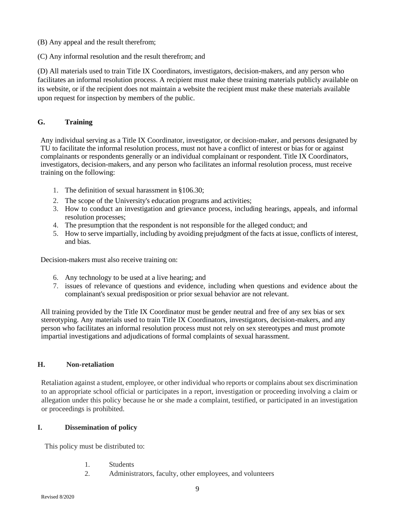- (B) Any appeal and the result therefrom;
- (C) Any informal resolution and the result therefrom; and

(D) All materials used to train Title IX Coordinators, investigators, decision-makers, and any person who facilitates an informal resolution process. A recipient must make these training materials publicly available on its website, or if the recipient does not maintain a website the recipient must make these materials available upon request for inspection by members of the public.

# **G. Training**

Any individual serving as a Title IX Coordinator, investigator, or decision-maker, and persons designated by TU to facilitate the informal resolution process, must not have a conflict of interest or bias for or against complainants or respondents generally or an individual complainant or respondent. Title IX Coordinators, investigators, decision-makers, and any person who facilitates an informal resolution process, must receive training on the following:

- 1. The definition of sexual harassment in §106.30;
- 2. The scope of the University's education programs and activities;
- 3. How to conduct an investigation and grievance process, including hearings, appeals, and informal resolution processes;
- 4. The presumption that the respondent is not responsible for the alleged conduct; and
- 5. How to serve impartially, including by avoiding prejudgment of the facts at issue, conflicts of interest, and bias.

Decision-makers must also receive training on:

- 6. Any technology to be used at a live hearing; and
- 7. issues of relevance of questions and evidence, including when questions and evidence about the complainant's sexual predisposition or prior sexual behavior are not relevant.

All training provided by the Title IX Coordinator must be gender neutral and free of any sex bias or sex stereotyping. Any materials used to train Title IX Coordinators, investigators, decision-makers, and any person who facilitates an informal resolution process must not rely on sex stereotypes and must promote impartial investigations and adjudications of formal complaints of sexual harassment.

## **H. Non-retaliation**

Retaliation against a student, employee, or other individual who reports or complains about sex discrimination to an appropriate school official or participates in a report, investigation or proceeding involving a claim or allegation under this policy because he or she made a complaint, testified, or participated in an investigation or proceedings is prohibited.

## **I. Dissemination of policy**

This policy must be distributed to:

- 1. Students
- 2. Administrators, faculty, other employees, and volunteers